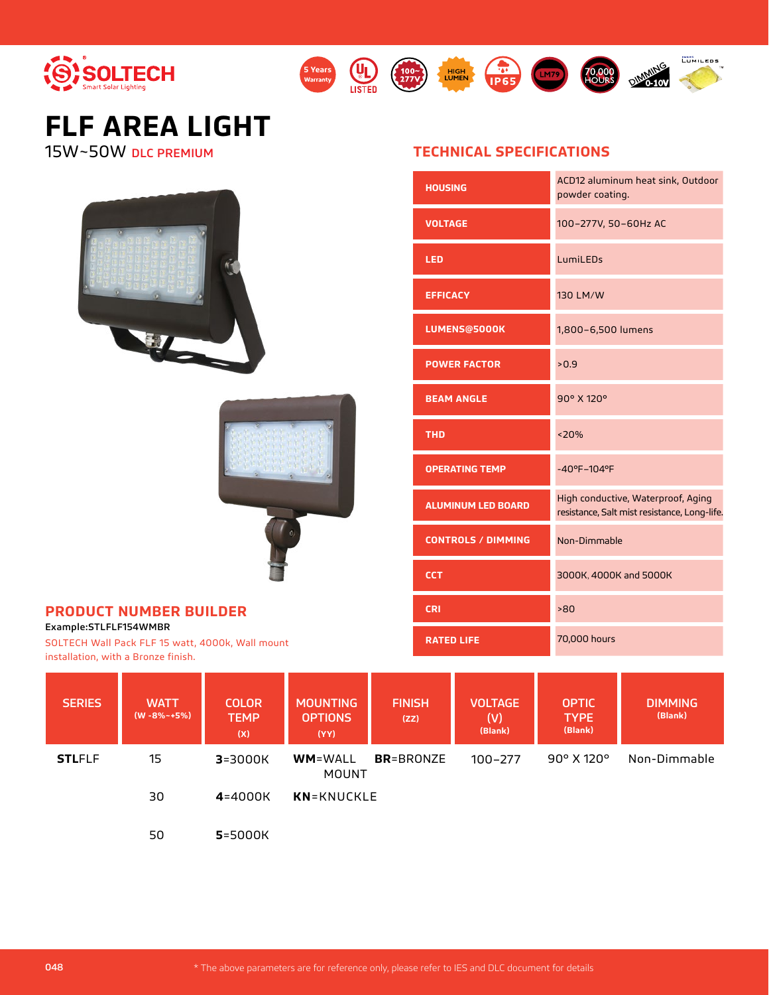

# **FLF AREA LIGHT**

15W~50W DLC PREMIUM





**5 Years**

**UL** 

### **PRODUCT NUMBER BUILDER**

Example:STLFLF154WMBR

SOLTECH Wall Pack FLF 15 watt, 4000k, Wall mount installation, with a Bronze finish.

## **TECHNICAL SPECIFICATIONS**

LM79

(100~) HIGH (105

| <b>HOUSING</b>            | ACD12 aluminum heat sink, Outdoor<br>powder coating.                               |
|---------------------------|------------------------------------------------------------------------------------|
| <b>VOLTAGE</b>            | 100-277V, 50-60Hz AC                                                               |
| <b>LED</b>                | LumiLEDs                                                                           |
| <b>EFFICACY</b>           | 130 LM/W                                                                           |
| <b>LUMENS@5000K</b>       | 1,800-6,500 lumens                                                                 |
| <b>POWER FACTOR</b>       | >0.9                                                                               |
| <b>BEAM ANGLE</b>         | 90° X 120°                                                                         |
| <b>THD</b>                | < 20%                                                                              |
| <b>OPERATING TEMP</b>     | $-40^{\circ}F - 104^{\circ}F$                                                      |
| <b>ALUMINUM LED BOARD</b> | High conductive, Waterproof, Aging<br>resistance, Salt mist resistance, Long-life. |
| <b>CONTROLS / DIMMING</b> | Non-Dimmable                                                                       |
| <b>CCT</b>                | 3000K, 4000K and 5000K                                                             |
| <b>CRI</b>                | >80                                                                                |
| <b>RATED LIFE</b>         | 70,000 hours                                                                       |

**70.000**<br>HOURS

**EUMILEDS** 

| <b>SERIES</b> | <b>WATT</b><br>$(W - 8\% - +5\%)$ | <b>COLOR</b><br><b>TEMP</b><br>(X) | <b>MOUNTING</b><br><b>OPTIONS</b><br>(YY) | <b>FINISH</b><br>(ZZ) | <b>VOLTAGE</b><br>(V).<br>(Blank) | <b>OPTIC</b><br><b>TYPE</b><br>(Blank) | <b>DIMMING</b><br>(Blank) |
|---------------|-----------------------------------|------------------------------------|-------------------------------------------|-----------------------|-----------------------------------|----------------------------------------|---------------------------|
| <b>STLFLF</b> | 15                                | $3 = 3000K$                        | <b>WM=WALL</b><br><b>MOUNT</b>            | <b>BR</b> =BRONZE     | $100 - 277$                       | $90^\circ$ X 120 $^\circ$              | Non-Dimmable              |
|               | 30                                | $4 = 4000K$                        | <b>KN</b> =KNUCKLE                        |                       |                                   |                                        |                           |
|               | 50                                | 5=5000K                            |                                           |                       |                                   |                                        |                           |